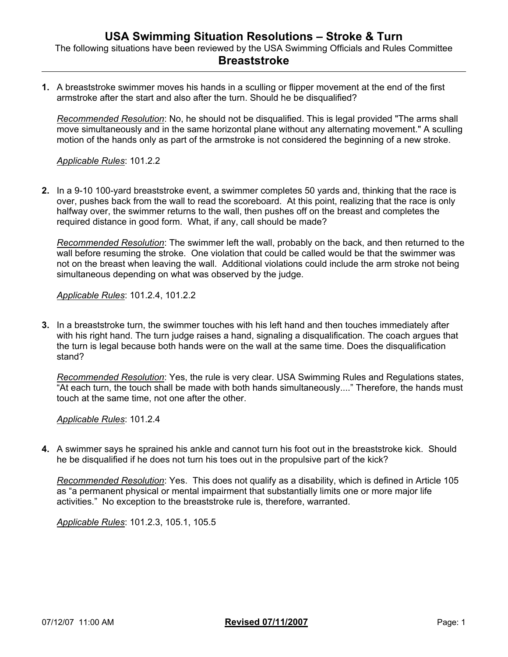**1.** A breaststroke swimmer moves his hands in a sculling or flipper movement at the end of the first armstroke after the start and also after the turn. Should he be disqualified?

*Recommended Resolution*: No, he should not be disqualified. This is legal provided "The arms shall move simultaneously and in the same horizontal plane without any alternating movement." A sculling motion of the hands only as part of the armstroke is not considered the beginning of a new stroke.

*Applicable Rules*: 101.2.2

**2.** In a 9-10 100-yard breaststroke event, a swimmer completes 50 yards and, thinking that the race is over, pushes back from the wall to read the scoreboard. At this point, realizing that the race is only halfway over, the swimmer returns to the wall, then pushes off on the breast and completes the required distance in good form. What, if any, call should be made?

*Recommended Resolution*: The swimmer left the wall, probably on the back, and then returned to the wall before resuming the stroke. One violation that could be called would be that the swimmer was not on the breast when leaving the wall. Additional violations could include the arm stroke not being simultaneous depending on what was observed by the judge.

*Applicable Rules*: 101.2.4, 101.2.2

**3.** In a breaststroke turn, the swimmer touches with his left hand and then touches immediately after with his right hand. The turn judge raises a hand, signaling a disqualification. The coach argues that the turn is legal because both hands were on the wall at the same time. Does the disqualification stand?

*Recommended Resolution*: Yes, the rule is very clear. USA Swimming Rules and Regulations states, "At each turn, the touch shall be made with both hands simultaneously...." Therefore, the hands must touch at the same time, not one after the other.

*Applicable Rules*: 101.2.4

**4.** A swimmer says he sprained his ankle and cannot turn his foot out in the breaststroke kick. Should he be disqualified if he does not turn his toes out in the propulsive part of the kick?

*Recommended Resolution*: Yes. This does not qualify as a disability, which is defined in Article 105 as "a permanent physical or mental impairment that substantially limits one or more major life activities." No exception to the breaststroke rule is, therefore, warranted.

*Applicable Rules*: 101.2.3, 105.1, 105.5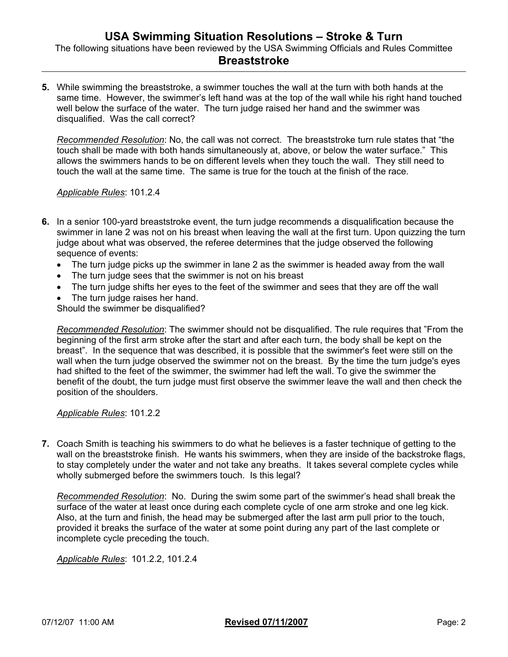**5.** While swimming the breaststroke, a swimmer touches the wall at the turn with both hands at the same time. However, the swimmer's left hand was at the top of the wall while his right hand touched well below the surface of the water. The turn judge raised her hand and the swimmer was disqualified. Was the call correct?

*Recommended Resolution*: No, the call was not correct. The breaststroke turn rule states that "the touch shall be made with both hands simultaneously at, above, or below the water surface." This allows the swimmers hands to be on different levels when they touch the wall. They still need to touch the wall at the same time. The same is true for the touch at the finish of the race.

*Applicable Rules*: 101.2.4

- **6.** In a senior 100-yard breaststroke event, the turn judge recommends a disqualification because the swimmer in lane 2 was not on his breast when leaving the wall at the first turn. Upon quizzing the turn judge about what was observed, the referee determines that the judge observed the following sequence of events:
	- The turn judge picks up the swimmer in lane 2 as the swimmer is headed away from the wall
	- The turn judge sees that the swimmer is not on his breast
	- The turn judge shifts her eyes to the feet of the swimmer and sees that they are off the wall
	- The turn judge raises her hand.

Should the swimmer be disqualified?

*Recommended Resolution*: The swimmer should not be disqualified. The rule requires that "From the beginning of the first arm stroke after the start and after each turn, the body shall be kept on the breast". In the sequence that was described, it is possible that the swimmer's feet were still on the wall when the turn judge observed the swimmer not on the breast. By the time the turn judge's eyes had shifted to the feet of the swimmer, the swimmer had left the wall. To give the swimmer the benefit of the doubt, the turn judge must first observe the swimmer leave the wall and then check the position of the shoulders.

*Applicable Rules*: 101.2.2

**7.** Coach Smith is teaching his swimmers to do what he believes is a faster technique of getting to the wall on the breaststroke finish. He wants his swimmers, when they are inside of the backstroke flags, to stay completely under the water and not take any breaths. It takes several complete cycles while wholly submerged before the swimmers touch. Is this legal?

*Recommended Resolution*: No. During the swim some part of the swimmer's head shall break the surface of the water at least once during each complete cycle of one arm stroke and one leg kick. Also, at the turn and finish, the head may be submerged after the last arm pull prior to the touch, provided it breaks the surface of the water at some point during any part of the last complete or incomplete cycle preceding the touch.

*Applicable Rules*: 101.2.2, 101.2.4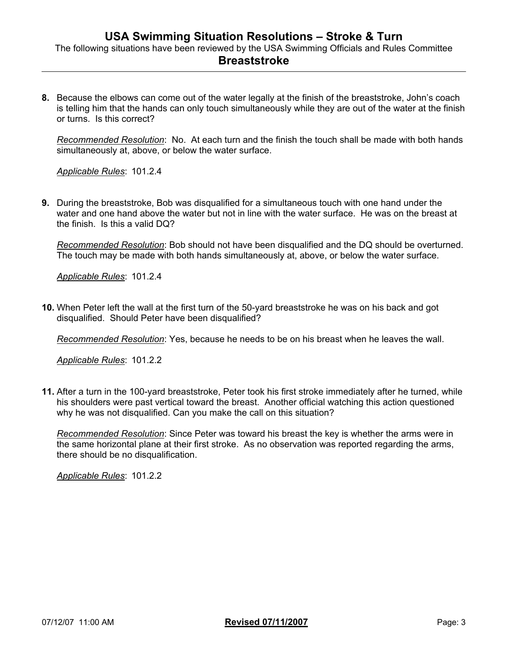**8.** Because the elbows can come out of the water legally at the finish of the breaststroke, John's coach is telling him that the hands can only touch simultaneously while they are out of the water at the finish or turns. Is this correct?

*Recommended Resolution*: No. At each turn and the finish the touch shall be made with both hands simultaneously at, above, or below the water surface.

*Applicable Rules*: 101.2.4

**9.** During the breaststroke, Bob was disqualified for a simultaneous touch with one hand under the water and one hand above the water but not in line with the water surface. He was on the breast at the finish. Is this a valid DQ?

*Recommended Resolution*: Bob should not have been disqualified and the DQ should be overturned. The touch may be made with both hands simultaneously at, above, or below the water surface.

*Applicable Rules*: 101.2.4

**10.** When Peter left the wall at the first turn of the 50-yard breaststroke he was on his back and got disqualified. Should Peter have been disqualified?

*Recommended Resolution*: Yes, because he needs to be on his breast when he leaves the wall.

*Applicable Rules*: 101.2.2

**11.** After a turn in the 100-yard breaststroke, Peter took his first stroke immediately after he turned, while his shoulders were past vertical toward the breast. Another official watching this action questioned why he was not disqualified. Can you make the call on this situation?

*Recommended Resolution*: Since Peter was toward his breast the key is whether the arms were in the same horizontal plane at their first stroke. As no observation was reported regarding the arms, there should be no disqualification.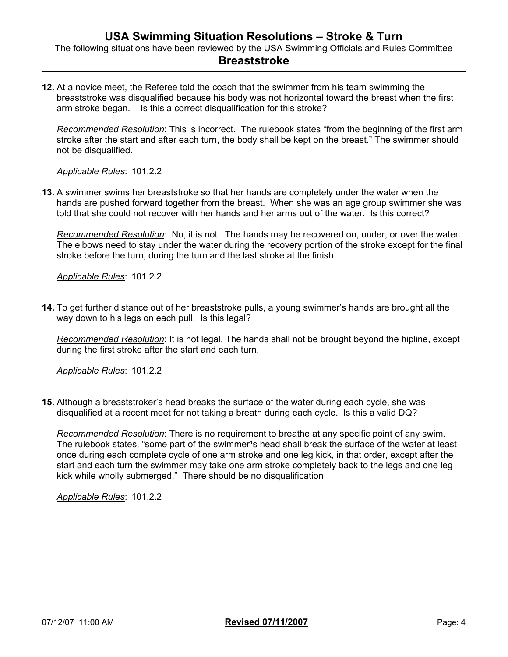**12.** At a novice meet, the Referee told the coach that the swimmer from his team swimming the breaststroke was disqualified because his body was not horizontal toward the breast when the first arm stroke began. Is this a correct disqualification for this stroke?

*Recommended Resolution*: This is incorrect. The rulebook states "from the beginning of the first arm stroke after the start and after each turn, the body shall be kept on the breast." The swimmer should not be disqualified.

*Applicable Rules*: 101.2.2

**13.** A swimmer swims her breaststroke so that her hands are completely under the water when the hands are pushed forward together from the breast. When she was an age group swimmer she was told that she could not recover with her hands and her arms out of the water. Is this correct?

*Recommended Resolution*: No, it is not. The hands may be recovered on, under, or over the water. The elbows need to stay under the water during the recovery portion of the stroke except for the final stroke before the turn, during the turn and the last stroke at the finish.

*Applicable Rules*: 101.2.2

**14.** To get further distance out of her breaststroke pulls, a young swimmer's hands are brought all the way down to his legs on each pull. Is this legal?

*Recommended Resolution*: It is not legal. The hands shall not be brought beyond the hipline, except during the first stroke after the start and each turn.

*Applicable Rules*: 101.2.2

**15.** Although a breaststroker's head breaks the surface of the water during each cycle, she was disqualified at a recent meet for not taking a breath during each cycle. Is this a valid DQ?

*Recommended Resolution*: There is no requirement to breathe at any specific point of any swim. The rulebook states, "some part of the swimmer<sup>1</sup>s head shall break the surface of the water at least once during each complete cycle of one arm stroke and one leg kick, in that order, except after the start and each turn the swimmer may take one arm stroke completely back to the legs and one leg kick while wholly submerged." There should be no disqualification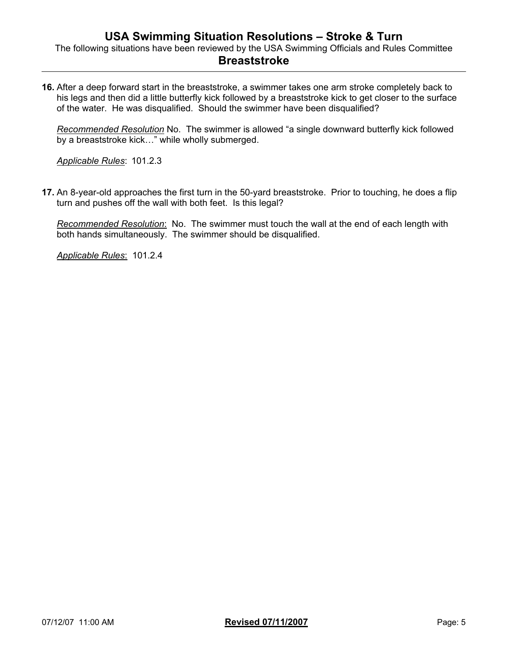**16.** After a deep forward start in the breaststroke, a swimmer takes one arm stroke completely back to his legs and then did a little butterfly kick followed by a breaststroke kick to get closer to the surface of the water. He was disqualified. Should the swimmer have been disqualified?

*Recommended Resolution* No. The swimmer is allowed "a single downward butterfly kick followed by a breaststroke kick…" while wholly submerged.

*Applicable Rules*: 101.2.3

**17.** An 8-year-old approaches the first turn in the 50-yard breaststroke. Prior to touching, he does a flip turn and pushes off the wall with both feet. Is this legal?

*Recommended Resolution*: No. The swimmer must touch the wall at the end of each length with both hands simultaneously. The swimmer should be disqualified.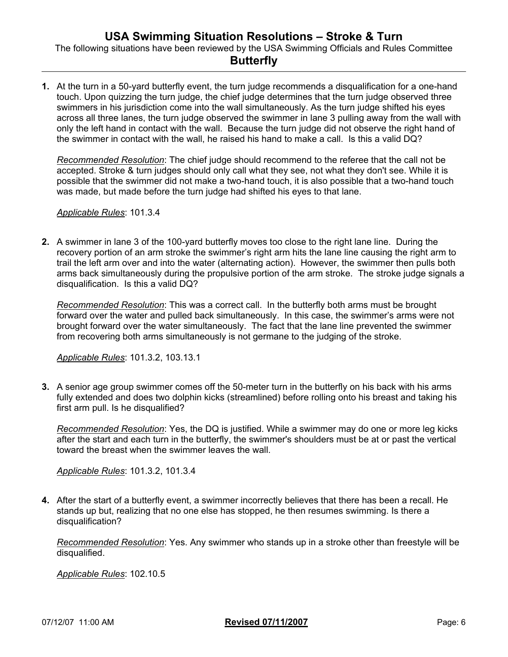**1.** At the turn in a 50-yard butterfly event, the turn judge recommends a disqualification for a one-hand touch. Upon quizzing the turn judge, the chief judge determines that the turn judge observed three swimmers in his jurisdiction come into the wall simultaneously. As the turn judge shifted his eyes across all three lanes, the turn judge observed the swimmer in lane 3 pulling away from the wall with only the left hand in contact with the wall. Because the turn judge did not observe the right hand of the swimmer in contact with the wall, he raised his hand to make a call. Is this a valid DQ?

*Recommended Resolution*: The chief judge should recommend to the referee that the call not be accepted. Stroke & turn judges should only call what they see, not what they don't see. While it is possible that the swimmer did not make a two-hand touch, it is also possible that a two-hand touch was made, but made before the turn judge had shifted his eyes to that lane.

*Applicable Rules*: 101.3.4

**2.** A swimmer in lane 3 of the 100-yard butterfly moves too close to the right lane line. During the recovery portion of an arm stroke the swimmer's right arm hits the lane line causing the right arm to trail the left arm over and into the water (alternating action). However, the swimmer then pulls both arms back simultaneously during the propulsive portion of the arm stroke. The stroke judge signals a disqualification. Is this a valid DQ?

*Recommended Resolution*: This was a correct call. In the butterfly both arms must be brought forward over the water and pulled back simultaneously. In this case, the swimmer's arms were not brought forward over the water simultaneously. The fact that the lane line prevented the swimmer from recovering both arms simultaneously is not germane to the judging of the stroke.

*Applicable Rules*: 101.3.2, 103.13.1

**3.** A senior age group swimmer comes off the 50-meter turn in the butterfly on his back with his arms fully extended and does two dolphin kicks (streamlined) before rolling onto his breast and taking his first arm pull. Is he disqualified?

*Recommended Resolution*: Yes, the DQ is justified. While a swimmer may do one or more leg kicks after the start and each turn in the butterfly, the swimmer's shoulders must be at or past the vertical toward the breast when the swimmer leaves the wall.

*Applicable Rules*: 101.3.2, 101.3.4

**4.** After the start of a butterfly event, a swimmer incorrectly believes that there has been a recall. He stands up but, realizing that no one else has stopped, he then resumes swimming. Is there a disqualification?

*Recommended Resolution*: Yes. Any swimmer who stands up in a stroke other than freestyle will be disqualified.

*Applicable Rules*: 102.10.5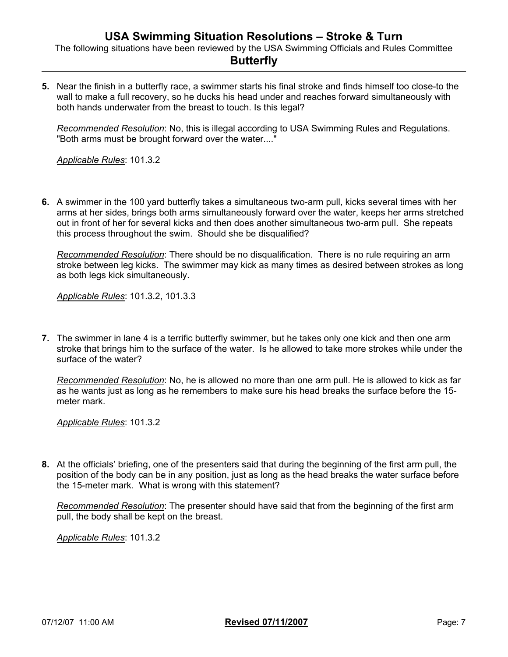The following situations have been reviewed by the USA Swimming Officials and Rules Committee

### **Butterfly**

**5.** Near the finish in a butterfly race, a swimmer starts his final stroke and finds himself too close-to the wall to make a full recovery, so he ducks his head under and reaches forward simultaneously with both hands underwater from the breast to touch. Is this legal?

*Recommended Resolution*: No, this is illegal according to USA Swimming Rules and Regulations. "Both arms must be brought forward over the water...."

*Applicable Rules*: 101.3.2

**6.** A swimmer in the 100 yard butterfly takes a simultaneous two-arm pull, kicks several times with her arms at her sides, brings both arms simultaneously forward over the water, keeps her arms stretched out in front of her for several kicks and then does another simultaneous two-arm pull. She repeats this process throughout the swim. Should she be disqualified?

*Recommended Resolution*: There should be no disqualification. There is no rule requiring an arm stroke between leg kicks. The swimmer may kick as many times as desired between strokes as long as both legs kick simultaneously.

*Applicable Rules*: 101.3.2, 101.3.3

**7.** The swimmer in lane 4 is a terrific butterfly swimmer, but he takes only one kick and then one arm stroke that brings him to the surface of the water. Is he allowed to take more strokes while under the surface of the water?

*Recommended Resolution*: No, he is allowed no more than one arm pull. He is allowed to kick as far as he wants just as long as he remembers to make sure his head breaks the surface before the 15 meter mark.

*Applicable Rules*: 101.3.2

**8.** At the officials' briefing, one of the presenters said that during the beginning of the first arm pull, the position of the body can be in any position, just as long as the head breaks the water surface before the 15-meter mark. What is wrong with this statement?

*Recommended Resolution*: The presenter should have said that from the beginning of the first arm pull, the body shall be kept on the breast.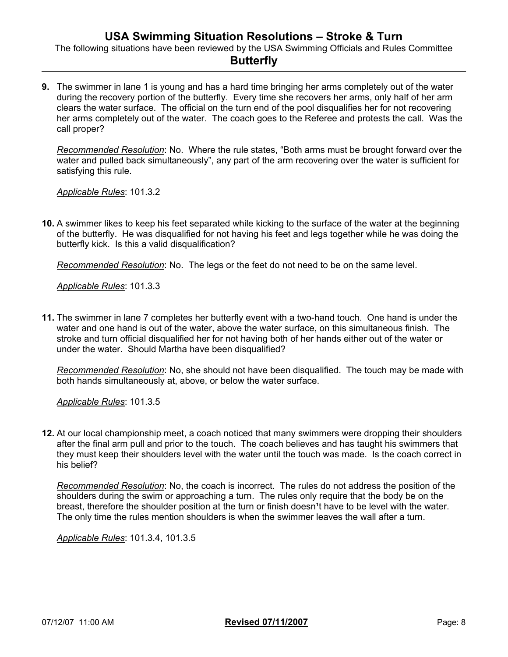The following situations have been reviewed by the USA Swimming Officials and Rules Committee

## **Butterfly**

**9.** The swimmer in lane 1 is young and has a hard time bringing her arms completely out of the water during the recovery portion of the butterfly. Every time she recovers her arms, only half of her arm clears the water surface. The official on the turn end of the pool disqualifies her for not recovering her arms completely out of the water. The coach goes to the Referee and protests the call. Was the call proper?

*Recommended Resolution*: No. Where the rule states, "Both arms must be brought forward over the water and pulled back simultaneously", any part of the arm recovering over the water is sufficient for satisfying this rule.

*Applicable Rules*: 101.3.2

**10.** A swimmer likes to keep his feet separated while kicking to the surface of the water at the beginning of the butterfly. He was disqualified for not having his feet and legs together while he was doing the butterfly kick. Is this a valid disqualification?

*Recommended Resolution*: No. The legs or the feet do not need to be on the same level.

*Applicable Rules*: 101.3.3

**11.** The swimmer in lane 7 completes her butterfly event with a two-hand touch. One hand is under the water and one hand is out of the water, above the water surface, on this simultaneous finish. The stroke and turn official disqualified her for not having both of her hands either out of the water or under the water. Should Martha have been disqualified?

*Recommended Resolution*: No, she should not have been disqualified. The touch may be made with both hands simultaneously at, above, or below the water surface.

*Applicable Rules*: 101.3.5

**12.** At our local championship meet, a coach noticed that many swimmers were dropping their shoulders after the final arm pull and prior to the touch. The coach believes and has taught his swimmers that they must keep their shoulders level with the water until the touch was made. Is the coach correct in his belief?

*Recommended Resolution*: No, the coach is incorrect. The rules do not address the position of the shoulders during the swim or approaching a turn. The rules only require that the body be on the breast, therefore the shoulder position at the turn or finish doesn<sup>1</sup>t have to be level with the water. The only time the rules mention shoulders is when the swimmer leaves the wall after a turn.

*Applicable Rules*: 101.3.4, 101.3.5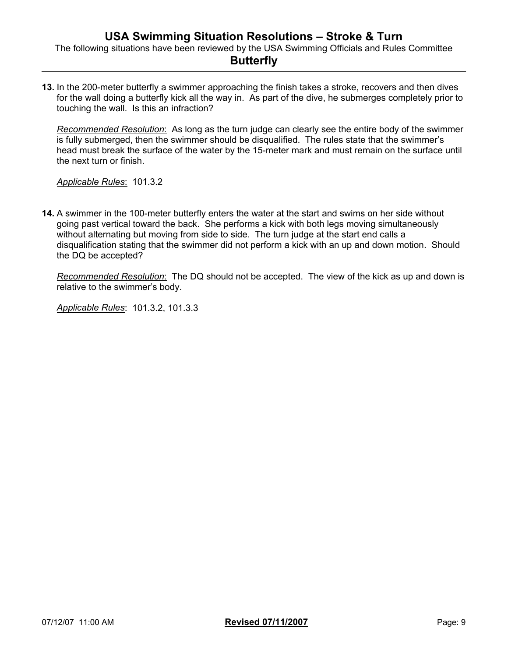**13.** In the 200-meter butterfly a swimmer approaching the finish takes a stroke, recovers and then dives for the wall doing a butterfly kick all the way in. As part of the dive, he submerges completely prior to touching the wall. Is this an infraction?

*Recommended Resolution*: As long as the turn judge can clearly see the entire body of the swimmer is fully submerged, then the swimmer should be disqualified. The rules state that the swimmer's head must break the surface of the water by the 15-meter mark and must remain on the surface until the next turn or finish.

*Applicable Rules*: 101.3.2

**14.** A swimmer in the 100-meter butterfly enters the water at the start and swims on her side without going past vertical toward the back. She performs a kick with both legs moving simultaneously without alternating but moving from side to side. The turn judge at the start end calls a disqualification stating that the swimmer did not perform a kick with an up and down motion. Should the DQ be accepted?

*Recommended Resolution*: The DQ should not be accepted. The view of the kick as up and down is relative to the swimmer's body.

*Applicable Rules*: 101.3.2, 101.3.3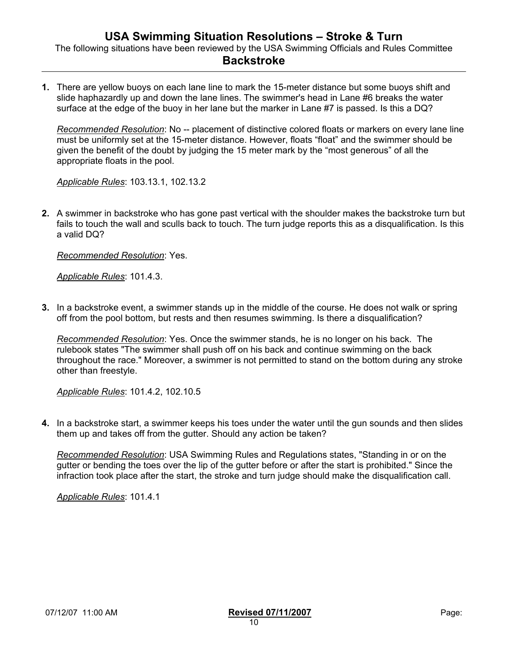**1.** There are yellow buoys on each lane line to mark the 15-meter distance but some buoys shift and slide haphazardly up and down the lane lines. The swimmer's head in Lane #6 breaks the water surface at the edge of the buoy in her lane but the marker in Lane #7 is passed. Is this a DQ?

*Recommended Resolution*: No -- placement of distinctive colored floats or markers on every lane line must be uniformly set at the 15-meter distance. However, floats "float" and the swimmer should be given the benefit of the doubt by judging the 15 meter mark by the "most generous" of all the appropriate floats in the pool.

*Applicable Rules*: 103.13.1, 102.13.2

**2.** A swimmer in backstroke who has gone past vertical with the shoulder makes the backstroke turn but fails to touch the wall and sculls back to touch. The turn judge reports this as a disqualification. Is this a valid DQ?

*Recommended Resolution*: Yes.

*Applicable Rules*: 101.4.3.

**3.** In a backstroke event, a swimmer stands up in the middle of the course. He does not walk or spring off from the pool bottom, but rests and then resumes swimming. Is there a disqualification?

*Recommended Resolution*: Yes. Once the swimmer stands, he is no longer on his back. The rulebook states "The swimmer shall push off on his back and continue swimming on the back throughout the race." Moreover, a swimmer is not permitted to stand on the bottom during any stroke other than freestyle.

*Applicable Rules*: 101.4.2, 102.10.5

**4.** In a backstroke start, a swimmer keeps his toes under the water until the gun sounds and then slides them up and takes off from the gutter. Should any action be taken?

*Recommended Resolution*: USA Swimming Rules and Regulations states, "Standing in or on the gutter or bending the toes over the lip of the gutter before or after the start is prohibited." Since the infraction took place after the start, the stroke and turn judge should make the disqualification call.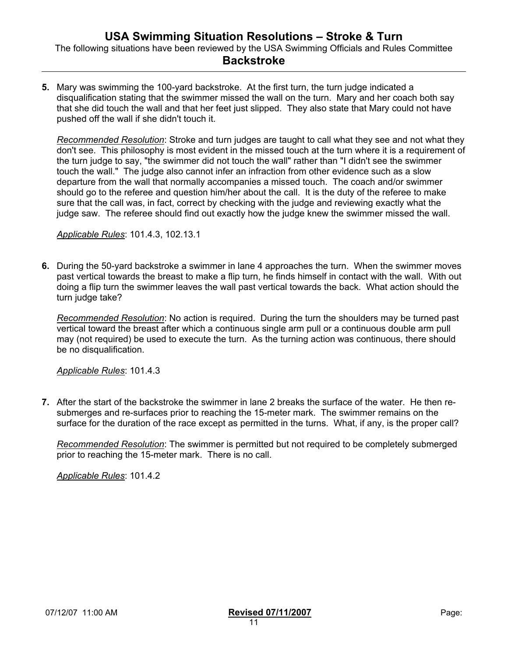**5.** Mary was swimming the 100-yard backstroke. At the first turn, the turn judge indicated a disqualification stating that the swimmer missed the wall on the turn. Mary and her coach both say that she did touch the wall and that her feet just slipped. They also state that Mary could not have pushed off the wall if she didn't touch it.

*Recommended Resolution*: Stroke and turn judges are taught to call what they see and not what they don't see. This philosophy is most evident in the missed touch at the turn where it is a requirement of the turn judge to say, "the swimmer did not touch the wall" rather than "I didn't see the swimmer touch the wall." The judge also cannot infer an infraction from other evidence such as a slow departure from the wall that normally accompanies a missed touch. The coach and/or swimmer should go to the referee and question him/her about the call. It is the duty of the referee to make sure that the call was, in fact, correct by checking with the judge and reviewing exactly what the judge saw. The referee should find out exactly how the judge knew the swimmer missed the wall.

*Applicable Rules*: 101.4.3, 102.13.1

**6.** During the 50-yard backstroke a swimmer in lane 4 approaches the turn. When the swimmer moves past vertical towards the breast to make a flip turn, he finds himself in contact with the wall. With out doing a flip turn the swimmer leaves the wall past vertical towards the back. What action should the turn judge take?

*Recommended Resolution*: No action is required. During the turn the shoulders may be turned past vertical toward the breast after which a continuous single arm pull or a continuous double arm pull may (not required) be used to execute the turn. As the turning action was continuous, there should be no disqualification.

*Applicable Rules*: 101.4.3

**7.** After the start of the backstroke the swimmer in lane 2 breaks the surface of the water. He then resubmerges and re-surfaces prior to reaching the 15-meter mark. The swimmer remains on the surface for the duration of the race except as permitted in the turns. What, if any, is the proper call?

*Recommended Resolution*: The swimmer is permitted but not required to be completely submerged prior to reaching the 15-meter mark. There is no call.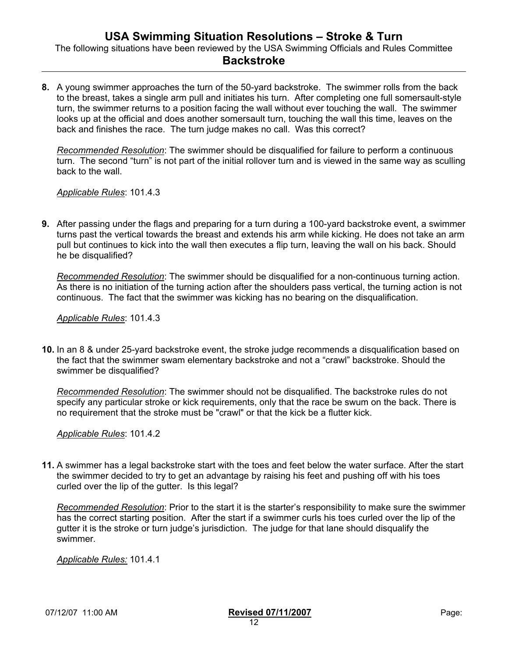**8.** A young swimmer approaches the turn of the 50-yard backstroke. The swimmer rolls from the back to the breast, takes a single arm pull and initiates his turn. After completing one full somersault-style turn, the swimmer returns to a position facing the wall without ever touching the wall. The swimmer looks up at the official and does another somersault turn, touching the wall this time, leaves on the back and finishes the race. The turn judge makes no call. Was this correct?

*Recommended Resolution*: The swimmer should be disqualified for failure to perform a continuous turn. The second "turn" is not part of the initial rollover turn and is viewed in the same way as sculling back to the wall.

*Applicable Rules*: 101.4.3

**9.** After passing under the flags and preparing for a turn during a 100-yard backstroke event, a swimmer turns past the vertical towards the breast and extends his arm while kicking. He does not take an arm pull but continues to kick into the wall then executes a flip turn, leaving the wall on his back. Should he be disqualified?

*Recommended Resolution*: The swimmer should be disqualified for a non-continuous turning action. As there is no initiation of the turning action after the shoulders pass vertical, the turning action is not continuous. The fact that the swimmer was kicking has no bearing on the disqualification.

*Applicable Rules*: 101.4.3

**10.** In an 8 & under 25-yard backstroke event, the stroke judge recommends a disqualification based on the fact that the swimmer swam elementary backstroke and not a "crawl" backstroke. Should the swimmer be disqualified?

*Recommended Resolution*: The swimmer should not be disqualified. The backstroke rules do not specify any particular stroke or kick requirements, only that the race be swum on the back. There is no requirement that the stroke must be "crawl" or that the kick be a flutter kick.

*Applicable Rules*: 101.4.2

**11.** A swimmer has a legal backstroke start with the toes and feet below the water surface. After the start the swimmer decided to try to get an advantage by raising his feet and pushing off with his toes curled over the lip of the gutter. Is this legal?

*Recommended Resolution*: Prior to the start it is the starter's responsibility to make sure the swimmer has the correct starting position. After the start if a swimmer curls his toes curled over the lip of the gutter it is the stroke or turn judge's jurisdiction. The judge for that lane should disqualify the swimmer.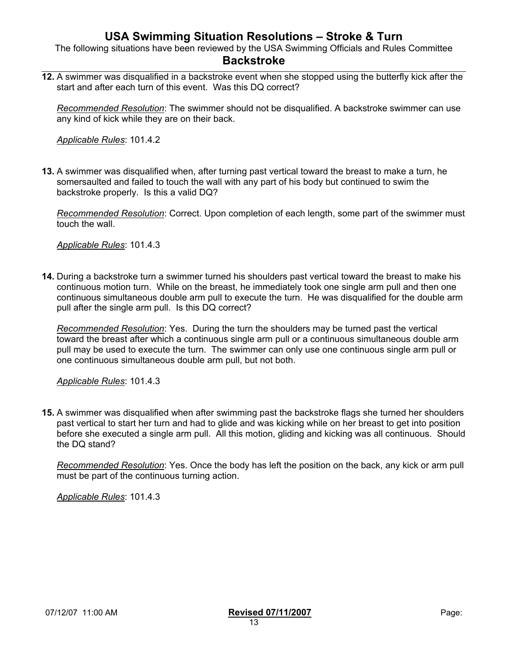The following situations have been reviewed by the USA Swimming Officials and Rules Committee

#### **Backstroke**

**12.** A swimmer was disqualified in a backstroke event when she stopped using the butterfly kick after the start and after each turn of this event. Was this DQ correct?

*Recommended Resolution*: The swimmer should not be disqualified. A backstroke swimmer can use any kind of kick while they are on their back.

*Applicable Rules*: 101.4.2

**13.** A swimmer was disqualified when, after turning past vertical toward the breast to make a turn, he somersaulted and failed to touch the wall with any part of his body but continued to swim the backstroke properly. Is this a valid DQ?

*Recommended Resolution*: Correct. Upon completion of each length, some part of the swimmer must touch the wall.

*Applicable Rules*: 101.4.3

**14.** During a backstroke turn a swimmer turned his shoulders past vertical toward the breast to make his continuous motion turn. While on the breast, he immediately took one single arm pull and then one continuous simultaneous double arm pull to execute the turn. He was disqualified for the double arm pull after the single arm pull. Is this DQ correct?

*Recommended Resolution*: Yes. During the turn the shoulders may be turned past the vertical toward the breast after which a continuous single arm pull or a continuous simultaneous double arm pull may be used to execute the turn. The swimmer can only use one continuous single arm pull or one continuous simultaneous double arm pull, but not both.

*Applicable Rules*: 101.4.3

**15.** A swimmer was disqualified when after swimming past the backstroke flags she turned her shoulders past vertical to start her turn and had to glide and was kicking while on her breast to get into position before she executed a single arm pull. All this motion, gliding and kicking was all continuous. Should the DQ stand?

*Recommended Resolution*: Yes. Once the body has left the position on the back, any kick or arm pull must be part of the continuous turning action.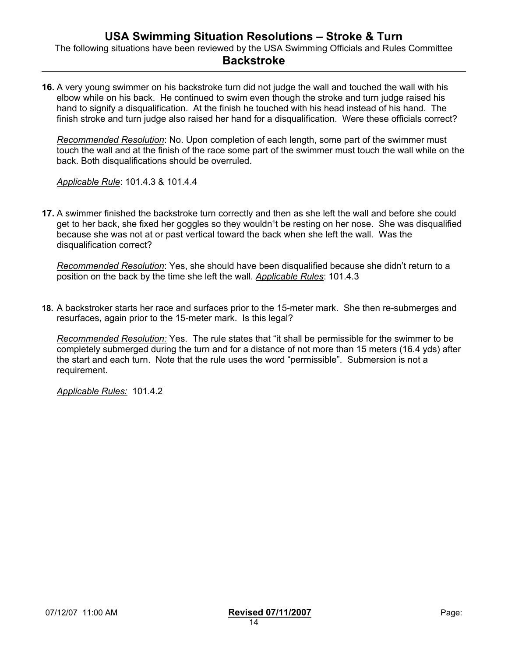**16.** A very young swimmer on his backstroke turn did not judge the wall and touched the wall with his elbow while on his back. He continued to swim even though the stroke and turn judge raised his hand to signify a disqualification. At the finish he touched with his head instead of his hand. The finish stroke and turn judge also raised her hand for a disqualification. Were these officials correct?

*Recommended Resolution*: No. Upon completion of each length, some part of the swimmer must touch the wall and at the finish of the race some part of the swimmer must touch the wall while on the back. Both disqualifications should be overruled.

*Applicable Rule*: 101.4.3 & 101.4.4

**17.** A swimmer finished the backstroke turn correctly and then as she left the wall and before she could get to her back, she fixed her goggles so they wouldn<sup>1</sup>t be resting on her nose. She was disqualified because she was not at or past vertical toward the back when she left the wall. Was the disqualification correct?

*Recommended Resolution*: Yes, she should have been disqualified because she didn't return to a position on the back by the time she left the wall. *Applicable Rules*: 101.4.3

**18.** A backstroker starts her race and surfaces prior to the 15-meter mark. She then re-submerges and resurfaces, again prior to the 15-meter mark. Is this legal?

*Recommended Resolution:* Yes. The rule states that "it shall be permissible for the swimmer to be completely submerged during the turn and for a distance of not more than 15 meters (16.4 yds) after the start and each turn. Note that the rule uses the word "permissible". Submersion is not a requirement.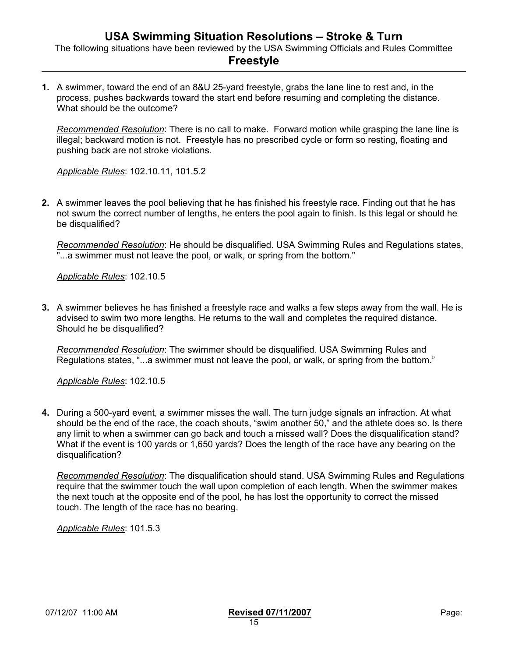**1.** A swimmer, toward the end of an 8&U 25-yard freestyle, grabs the lane line to rest and, in the process, pushes backwards toward the start end before resuming and completing the distance. What should be the outcome?

*Recommended Resolution*: There is no call to make. Forward motion while grasping the lane line is illegal; backward motion is not. Freestyle has no prescribed cycle or form so resting, floating and pushing back are not stroke violations.

*Applicable Rules*: 102.10.11, 101.5.2

**2.** A swimmer leaves the pool believing that he has finished his freestyle race. Finding out that he has not swum the correct number of lengths, he enters the pool again to finish. Is this legal or should he be disqualified?

*Recommended Resolution*: He should be disqualified. USA Swimming Rules and Regulations states, "...a swimmer must not leave the pool, or walk, or spring from the bottom."

*Applicable Rules*: 102.10.5

**3.** A swimmer believes he has finished a freestyle race and walks a few steps away from the wall. He is advised to swim two more lengths. He returns to the wall and completes the required distance. Should he be disqualified?

*Recommended Resolution*: The swimmer should be disqualified. USA Swimming Rules and Regulations states, "...a swimmer must not leave the pool, or walk, or spring from the bottom."

*Applicable Rules*: 102.10.5

**4.** During a 500-yard event, a swimmer misses the wall. The turn judge signals an infraction. At what should be the end of the race, the coach shouts, "swim another 50," and the athlete does so. Is there any limit to when a swimmer can go back and touch a missed wall? Does the disqualification stand? What if the event is 100 yards or 1,650 yards? Does the length of the race have any bearing on the disqualification?

*Recommended Resolution*: The disqualification should stand. USA Swimming Rules and Regulations require that the swimmer touch the wall upon completion of each length. When the swimmer makes the next touch at the opposite end of the pool, he has lost the opportunity to correct the missed touch. The length of the race has no bearing.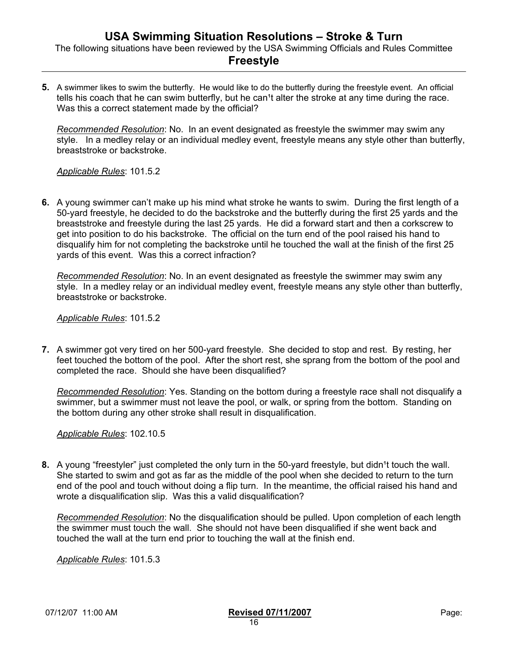### **Freestyle**

**5.** A swimmer likes to swim the butterfly. He would like to do the butterfly during the freestyle event. An official tells his coach that he can swim butterfly, but he can't alter the stroke at any time during the race. Was this a correct statement made by the official?

*Recommended Resolution*: No. In an event designated as freestyle the swimmer may swim any style. In a medley relay or an individual medley event, freestyle means any style other than butterfly, breaststroke or backstroke.

*Applicable Rules*: 101.5.2

**6.** A young swimmer can't make up his mind what stroke he wants to swim. During the first length of a 50-yard freestyle, he decided to do the backstroke and the butterfly during the first 25 yards and the breaststroke and freestyle during the last 25 yards. He did a forward start and then a corkscrew to get into position to do his backstroke. The official on the turn end of the pool raised his hand to disqualify him for not completing the backstroke until he touched the wall at the finish of the first 25 yards of this event. Was this a correct infraction?

*Recommended Resolution*: No. In an event designated as freestyle the swimmer may swim any style. In a medley relay or an individual medley event, freestyle means any style other than butterfly, breaststroke or backstroke.

*Applicable Rules*: 101.5.2

**7.** A swimmer got very tired on her 500-yard freestyle. She decided to stop and rest. By resting, her feet touched the bottom of the pool. After the short rest, she sprang from the bottom of the pool and completed the race. Should she have been disqualified?

*Recommended Resolution*: Yes. Standing on the bottom during a freestyle race shall not disqualify a swimmer, but a swimmer must not leave the pool, or walk, or spring from the bottom. Standing on the bottom during any other stroke shall result in disqualification.

*Applicable Rules*: 102.10.5

**8.** A young "freestyler" just completed the only turn in the 50-yard freestyle, but didn<sup>1</sup>t touch the wall. She started to swim and got as far as the middle of the pool when she decided to return to the turn end of the pool and touch without doing a flip turn. In the meantime, the official raised his hand and wrote a disqualification slip. Was this a valid disqualification?

*Recommended Resolution*: No the disqualification should be pulled. Upon completion of each length the swimmer must touch the wall. She should not have been disqualified if she went back and touched the wall at the turn end prior to touching the wall at the finish end.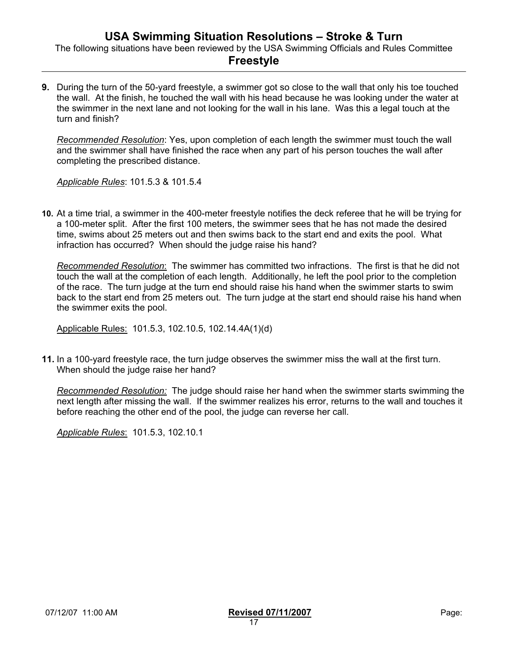The following situations have been reviewed by the USA Swimming Officials and Rules Committee

#### **Freestyle**

**9.** During the turn of the 50-yard freestyle, a swimmer got so close to the wall that only his toe touched the wall. At the finish, he touched the wall with his head because he was looking under the water at the swimmer in the next lane and not looking for the wall in his lane. Was this a legal touch at the turn and finish?

*Recommended Resolution*: Yes, upon completion of each length the swimmer must touch the wall and the swimmer shall have finished the race when any part of his person touches the wall after completing the prescribed distance.

*Applicable Rules*: 101.5.3 & 101.5.4

**10.** At a time trial, a swimmer in the 400-meter freestyle notifies the deck referee that he will be trying for a 100-meter split. After the first 100 meters, the swimmer sees that he has not made the desired time, swims about 25 meters out and then swims back to the start end and exits the pool. What infraction has occurred? When should the judge raise his hand?

*Recommended Resolution*: The swimmer has committed two infractions. The first is that he did not touch the wall at the completion of each length. Additionally, he left the pool prior to the completion of the race. The turn judge at the turn end should raise his hand when the swimmer starts to swim back to the start end from 25 meters out. The turn judge at the start end should raise his hand when the swimmer exits the pool.

Applicable Rules: 101.5.3, 102.10.5, 102.14.4A(1)(d)

**11.** In a 100-yard freestyle race, the turn judge observes the swimmer miss the wall at the first turn. When should the judge raise her hand?

*Recommended Resolution:* The judge should raise her hand when the swimmer starts swimming the next length after missing the wall. If the swimmer realizes his error, returns to the wall and touches it before reaching the other end of the pool, the judge can reverse her call.

*Applicable Rules*: 101.5.3, 102.10.1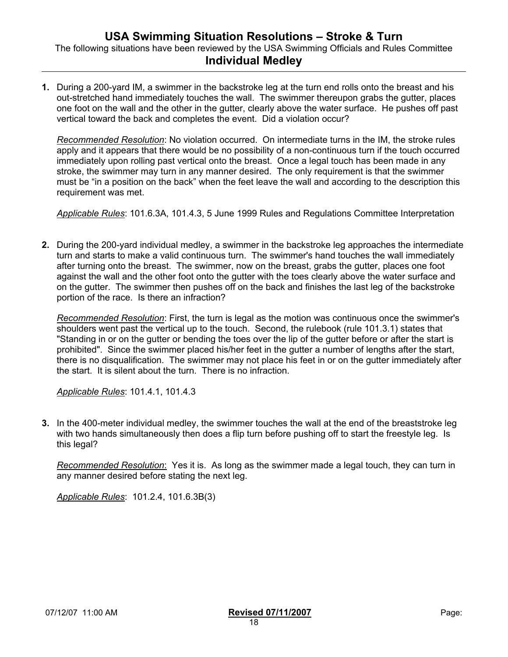**1.** During a 200-yard IM, a swimmer in the backstroke leg at the turn end rolls onto the breast and his out-stretched hand immediately touches the wall. The swimmer thereupon grabs the gutter, places one foot on the wall and the other in the gutter, clearly above the water surface. He pushes off past vertical toward the back and completes the event. Did a violation occur?

*Recommended Resolution*: No violation occurred. On intermediate turns in the IM, the stroke rules apply and it appears that there would be no possibility of a non-continuous turn if the touch occurred immediately upon rolling past vertical onto the breast. Once a legal touch has been made in any stroke, the swimmer may turn in any manner desired. The only requirement is that the swimmer must be "in a position on the back" when the feet leave the wall and according to the description this requirement was met.

*Applicable Rules*: 101.6.3A, 101.4.3, 5 June 1999 Rules and Regulations Committee Interpretation

**2.** During the 200-yard individual medley, a swimmer in the backstroke leg approaches the intermediate turn and starts to make a valid continuous turn. The swimmer's hand touches the wall immediately after turning onto the breast. The swimmer, now on the breast, grabs the gutter, places one foot against the wall and the other foot onto the gutter with the toes clearly above the water surface and on the gutter. The swimmer then pushes off on the back and finishes the last leg of the backstroke portion of the race. Is there an infraction?

*Recommended Resolution*: First, the turn is legal as the motion was continuous once the swimmer's shoulders went past the vertical up to the touch. Second, the rulebook (rule 101.3.1) states that "Standing in or on the gutter or bending the toes over the lip of the gutter before or after the start is prohibited". Since the swimmer placed his/her feet in the gutter a number of lengths after the start, there is no disqualification. The swimmer may not place his feet in or on the gutter immediately after the start. It is silent about the turn. There is no infraction.

*Applicable Rules*: 101.4.1, 101.4.3

**3.** In the 400-meter individual medley, the swimmer touches the wall at the end of the breaststroke leg with two hands simultaneously then does a flip turn before pushing off to start the freestyle leg. Is this legal?

*Recommended Resolution*: Yes it is. As long as the swimmer made a legal touch, they can turn in any manner desired before stating the next leg.

*Applicable Rules*: 101.2.4, 101.6.3B(3)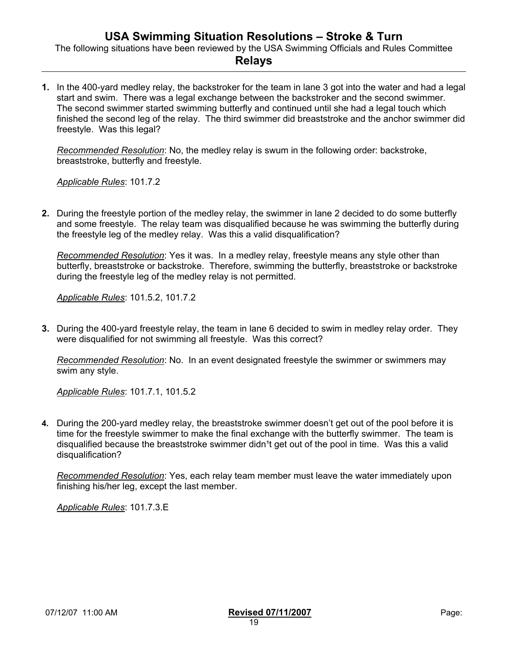The following situations have been reviewed by the USA Swimming Officials and Rules Committee

#### **Relays**

**1.** In the 400-yard medley relay, the backstroker for the team in lane 3 got into the water and had a legal start and swim. There was a legal exchange between the backstroker and the second swimmer. The second swimmer started swimming butterfly and continued until she had a legal touch which finished the second leg of the relay. The third swimmer did breaststroke and the anchor swimmer did freestyle. Was this legal?

*Recommended Resolution*: No, the medley relay is swum in the following order: backstroke, breaststroke, butterfly and freestyle.

*Applicable Rules*: 101.7.2

**2.** During the freestyle portion of the medley relay, the swimmer in lane 2 decided to do some butterfly and some freestyle. The relay team was disqualified because he was swimming the butterfly during the freestyle leg of the medley relay. Was this a valid disqualification?

*Recommended Resolution*: Yes it was. In a medley relay, freestyle means any style other than butterfly, breaststroke or backstroke. Therefore, swimming the butterfly, breaststroke or backstroke during the freestyle leg of the medley relay is not permitted.

*Applicable Rules*: 101.5.2, 101.7.2

**3.** During the 400-yard freestyle relay, the team in lane 6 decided to swim in medley relay order. They were disqualified for not swimming all freestyle. Was this correct?

*Recommended Resolution*: No. In an event designated freestyle the swimmer or swimmers may swim any style.

*Applicable Rules*: 101.7.1, 101.5.2

**4.** During the 200-yard medley relay, the breaststroke swimmer doesn't get out of the pool before it is time for the freestyle swimmer to make the final exchange with the butterfly swimmer. The team is disqualified because the breaststroke swimmer didn<sup>1</sup>t get out of the pool in time. Was this a valid disqualification?

*Recommended Resolution*: Yes, each relay team member must leave the water immediately upon finishing his/her leg, except the last member.